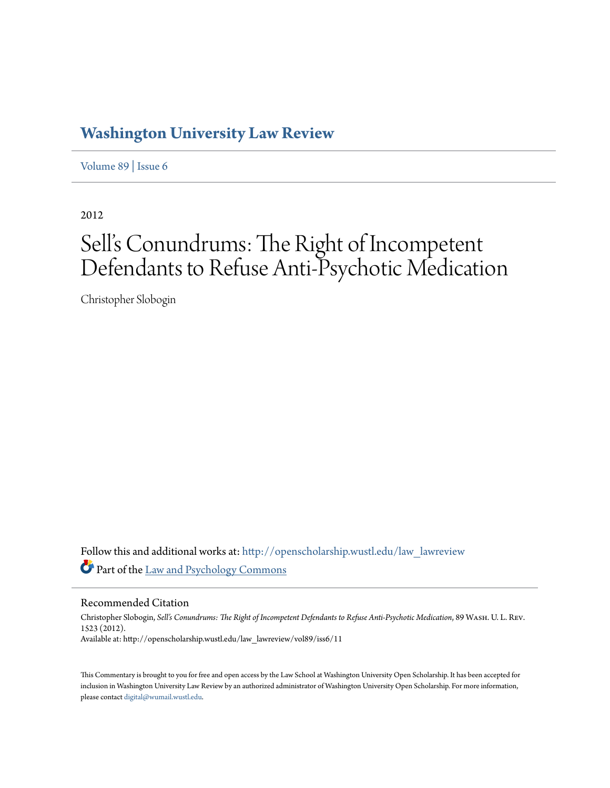## **[Washington University Law Review](http://openscholarship.wustl.edu/law_lawreview?utm_source=openscholarship.wustl.edu%2Flaw_lawreview%2Fvol89%2Fiss6%2F11&utm_medium=PDF&utm_campaign=PDFCoverPages)**

[Volume 89](http://openscholarship.wustl.edu/law_lawreview/vol89?utm_source=openscholarship.wustl.edu%2Flaw_lawreview%2Fvol89%2Fiss6%2F11&utm_medium=PDF&utm_campaign=PDFCoverPages) | [Issue 6](http://openscholarship.wustl.edu/law_lawreview/vol89/iss6?utm_source=openscholarship.wustl.edu%2Flaw_lawreview%2Fvol89%2Fiss6%2F11&utm_medium=PDF&utm_campaign=PDFCoverPages)

2012

# Sell's Conundrums: The Right of Incompetent Defendants to Refuse Anti-Psychotic Medication

Christopher Slobogin

Follow this and additional works at: [http://openscholarship.wustl.edu/law\\_lawreview](http://openscholarship.wustl.edu/law_lawreview?utm_source=openscholarship.wustl.edu%2Flaw_lawreview%2Fvol89%2Fiss6%2F11&utm_medium=PDF&utm_campaign=PDFCoverPages) Part of the [Law and Psychology Commons](http://network.bepress.com/hgg/discipline/870?utm_source=openscholarship.wustl.edu%2Flaw_lawreview%2Fvol89%2Fiss6%2F11&utm_medium=PDF&utm_campaign=PDFCoverPages)

Recommended Citation

Christopher Slobogin, *Sell's Conundrums: The Right of Incompetent Defendants to Refuse Anti-Psychotic Medication*, 89 Wash. U. L. Rev. 1523 (2012). Available at: http://openscholarship.wustl.edu/law\_lawreview/vol89/iss6/11

This Commentary is brought to you for free and open access by the Law School at Washington University Open Scholarship. It has been accepted for inclusion in Washington University Law Review by an authorized administrator of Washington University Open Scholarship. For more information, please contact [digital@wumail.wustl.edu.](mailto:digital@wumail.wustl.edu)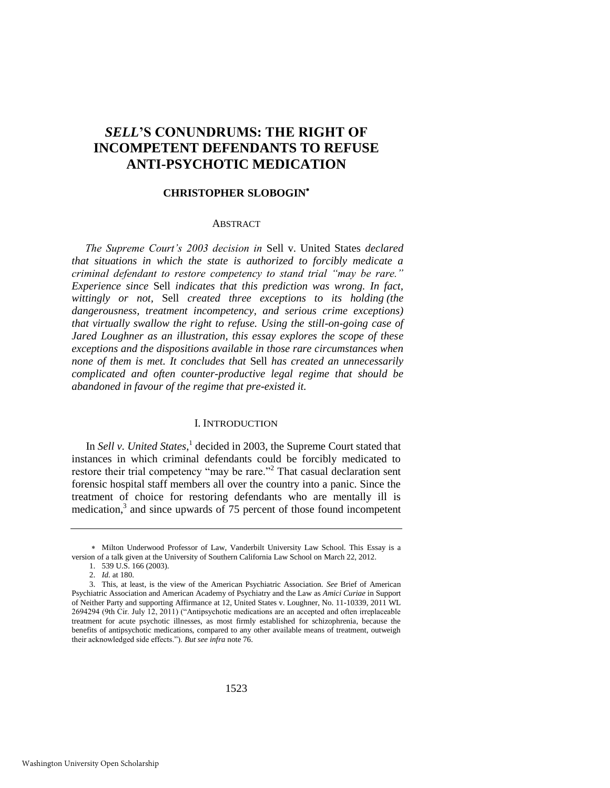## *SELL***'S CONUNDRUMS: THE RIGHT OF INCOMPETENT DEFENDANTS TO REFUSE ANTI-PSYCHOTIC MEDICATION**

#### **CHRISTOPHER SLOBOGIN**

#### **ABSTRACT**

*The Supreme Court's 2003 decision in* Sell v. United States *declared that situations in which the state is authorized to forcibly medicate a criminal defendant to restore competency to stand trial "may be rare." Experience since* Sell *indicates that this prediction was wrong. In fact, wittingly or not,* Sell *created three exceptions to its holding (the dangerousness, treatment incompetency, and serious crime exceptions) that virtually swallow the right to refuse. Using the still-on-going case of Jared Loughner as an illustration, this essay explores the scope of these exceptions and the dispositions available in those rare circumstances when none of them is met. It concludes that* Sell *has created an unnecessarily complicated and often counter-productive legal regime that should be abandoned in favour of the regime that pre-existed it.*

#### I. INTRODUCTION

In *Sell v. United States*, 1 decided in 2003, the Supreme Court stated that instances in which criminal defendants could be forcibly medicated to restore their trial competency "may be rare."<sup>2</sup> That casual declaration sent forensic hospital staff members all over the country into a panic. Since the treatment of choice for restoring defendants who are mentally ill is medication,<sup>3</sup> and since upwards of 75 percent of those found incompetent

Milton Underwood Professor of Law, Vanderbilt University Law School. This Essay is a version of a talk given at the University of Southern California Law School on March 22, 2012.

<sup>1. 539</sup> U.S. 166 (2003).

<sup>2.</sup> *Id.* at 180.

<sup>3.</sup> This, at least, is the view of the American Psychiatric Association. *See* Brief of American Psychiatric Association and American Academy of Psychiatry and the Law as *Amici Curiae* in Support of Neither Party and supporting Affirmance at 12, United States v. Loughner, No. 11-10339, 2011 WL 2694294 (9th Cir. July 12, 2011) ("Antipsychotic medications are an accepted and often irreplaceable treatment for acute psychotic illnesses, as most firmly established for schizophrenia, because the benefits of antipsychotic medications, compared to any other available means of treatment, outweigh their acknowledged side effects."). *But see infra* note 76.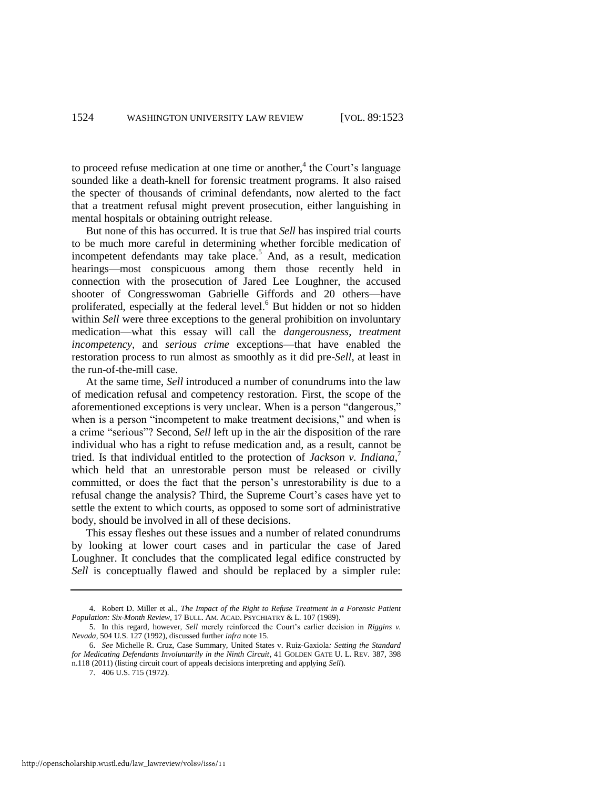to proceed refuse medication at one time or another,<sup>4</sup> the Court's language sounded like a death-knell for forensic treatment programs. It also raised the specter of thousands of criminal defendants, now alerted to the fact that a treatment refusal might prevent prosecution, either languishing in mental hospitals or obtaining outright release.

<span id="page-2-0"></span>But none of this has occurred. It is true that *Sell* has inspired trial courts to be much more careful in determining whether forcible medication of incompetent defendants may take place.<sup>5</sup> And, as a result, medication hearings—most conspicuous among them those recently held in connection with the prosecution of Jared Lee Loughner, the accused shooter of Congresswoman Gabrielle Giffords and 20 others—have proliferated, especially at the federal level.<sup>6</sup> But hidden or not so hidden within *Sell* were three exceptions to the general prohibition on involuntary medication—what this essay will call the *dangerousness*, *treatment incompetency*, and *serious crime* exceptions—that have enabled the restoration process to run almost as smoothly as it did pre-*Sell*, at least in the run-of-the-mill case.

At the same time, *Sell* introduced a number of conundrums into the law of medication refusal and competency restoration. First, the scope of the aforementioned exceptions is very unclear. When is a person "dangerous," when is a person "incompetent to make treatment decisions," and when is a crime "serious"? Second, *Sell* left up in the air the disposition of the rare individual who has a right to refuse medication and, as a result, cannot be tried. Is that individual entitled to the protection of *Jackson v. Indiana*, 7 which held that an unrestorable person must be released or civilly committed, or does the fact that the person's unrestorability is due to a refusal change the analysis? Third, the Supreme Court's cases have yet to settle the extent to which courts, as opposed to some sort of administrative body, should be involved in all of these decisions.

This essay fleshes out these issues and a number of related conundrums by looking at lower court cases and in particular the case of Jared Loughner. It concludes that the complicated legal edifice constructed by *Sell* is conceptually flawed and should be replaced by a simpler rule:

<sup>4.</sup> Robert D. Miller et al., *The Impact of the Right to Refuse Treatment in a Forensic Patient Population: Six-Month Review*, 17 BULL. AM. ACAD. PSYCHIATRY & L. 107 (1989).

<sup>5.</sup> In this regard, however, *Sell* merely reinforced the Court's earlier decision in *Riggins v. Nevada*, 504 U.S. 127 (1992), discussed further *infra* note [15.](#page-4-0) 

<sup>6.</sup> *See* Michelle R. Cruz, Case Summary, United States v. Ruiz-Gaxiola*: Setting the Standard for Medicating Defendants Involuntarily in the Ninth Circuit*, 41 GOLDEN GATE U. L. REV. 387, 398 n.118 (2011) (listing circuit court of appeals decisions interpreting and applying *Sell*).

<sup>7. 406</sup> U.S. 715 (1972).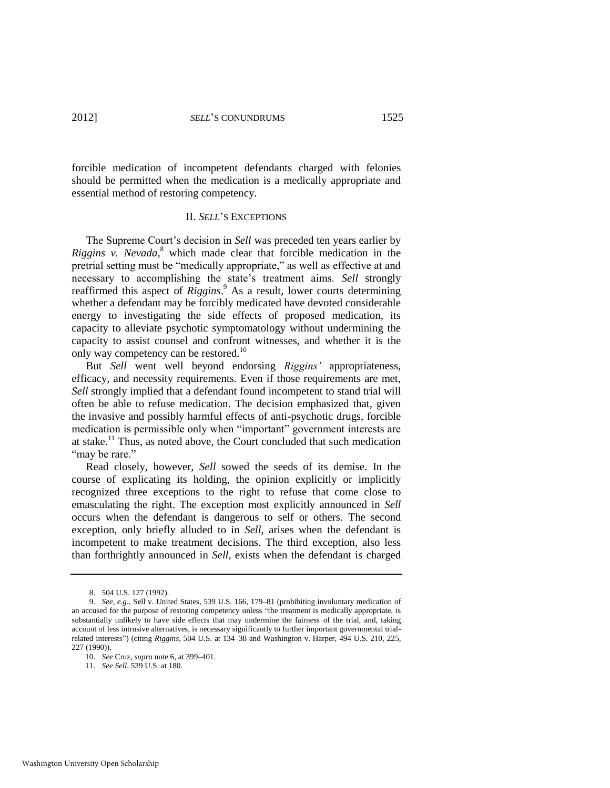forcible medication of incompetent defendants charged with felonies should be permitted when the medication is a medically appropriate and essential method of restoring competency.

#### II. *SELL*'S EXCEPTIONS

The Supreme Court's decision in *Sell* was preceded ten years earlier by *Riggins v. Nevada*,<sup>8</sup> which made clear that forcible medication in the pretrial setting must be "medically appropriate," as well as effective at and necessary to accomplishing the state's treatment aims. *Sell* strongly reaffirmed this aspect of *Riggins*.<sup>9</sup> As a result, lower courts determining whether a defendant may be forcibly medicated have devoted considerable energy to investigating the side effects of proposed medication, its capacity to alleviate psychotic symptomatology without undermining the capacity to assist counsel and confront witnesses, and whether it is the only way competency can be restored.<sup>10</sup>

But *Sell* went well beyond endorsing *Riggins'* appropriateness, efficacy, and necessity requirements. Even if those requirements are met, *Sell* strongly implied that a defendant found incompetent to stand trial will often be able to refuse medication. The decision emphasized that, given the invasive and possibly harmful effects of anti-psychotic drugs, forcible medication is permissible only when "important" government interests are at stake.<sup>11</sup> Thus, as noted above, the Court concluded that such medication "may be rare."

Read closely, however, *Sell* sowed the seeds of its demise. In the course of explicating its holding, the opinion explicitly or implicitly recognized three exceptions to the right to refuse that come close to emasculating the right. The exception most explicitly announced in *Sell* occurs when the defendant is dangerous to self or others. The second exception, only briefly alluded to in *Sell*, arises when the defendant is incompetent to make treatment decisions. The third exception, also less than forthrightly announced in *Sell*, exists when the defendant is charged

<sup>8. 504</sup> U.S. 127 (1992).

<sup>9.</sup> *See, e.g*., Sell v. United States, 539 U.S. 166, 179–81 (prohibiting involuntary medication of an accused for the purpose of restoring competency unless "the treatment is medically appropriate, is substantially unlikely to have side effects that may undermine the fairness of the trial, and, taking account of less intrusive alternatives, is necessary significantly to further important governmental trialrelated interests‖) (citing *Riggins*, 504 U.S. at 134–38 and Washington v. Harper, 494 U.S. 210, 225, 227 (1990)).

<sup>10.</sup> *See* Cruz, *supra* not[e 6,](#page-2-0) at 399–401.

<sup>11.</sup> *See Sell*, 539 U.S. at 180.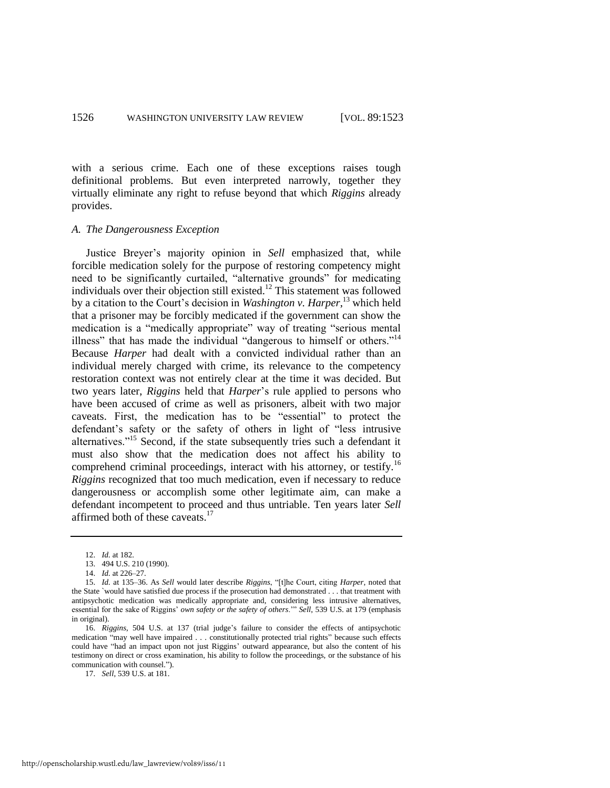with a serious crime. Each one of these exceptions raises tough definitional problems. But even interpreted narrowly, together they virtually eliminate any right to refuse beyond that which *Riggins* already provides.

#### *A. The Dangerousness Exception*

Justice Breyer's majority opinion in *Sell* emphasized that, while forcible medication solely for the purpose of restoring competency might need to be significantly curtailed, "alternative grounds" for medicating individuals over their objection still existed.<sup>12</sup> This statement was followed by a citation to the Court's decision in *Washington v. Harper*, <sup>13</sup> which held that a prisoner may be forcibly medicated if the government can show the medication is a "medically appropriate" way of treating "serious mental illness" that has made the individual "dangerous to himself or others."<sup>14</sup> Because *Harper* had dealt with a convicted individual rather than an individual merely charged with crime, its relevance to the competency restoration context was not entirely clear at the time it was decided. But two years later, *Riggins* held that *Harper*'s rule applied to persons who have been accused of crime as well as prisoners, albeit with two major caveats. First, the medication has to be "essential" to protect the defendant's safety or the safety of others in light of "less intrusive" alternatives."<sup>15</sup> Second, if the state subsequently tries such a defendant it must also show that the medication does not affect his ability to comprehend criminal proceedings, interact with his attorney, or testify.<sup>16</sup> *Riggins* recognized that too much medication, even if necessary to reduce dangerousness or accomplish some other legitimate aim, can make a defendant incompetent to proceed and thus untriable. Ten years later *Sell* affirmed both of these caveats.<sup>17</sup>

17. *Sell*, 539 U.S. at 181.

<span id="page-4-0"></span><sup>12.</sup> *Id.* at 182.

<sup>13. 494</sup> U.S. 210 (1990).

<sup>14.</sup> *Id.* at 226–27.

<sup>15.</sup> *Id.* at 135–36. As *Sell* would later describe *Riggins*, "[t]he Court, citing *Harper*, noted that the State `would have satisfied due process if the prosecution had demonstrated . . . that treatment with antipsychotic medication was medically appropriate and, considering less intrusive alternatives, essential for the sake of Riggins' *own safety or the safety of others*." *Sell*, 539 U.S. at 179 (emphasis in original).

<sup>16.</sup> *Riggins*, 504 U.S. at 137 (trial judge's failure to consider the effects of antipsychotic medication "may well have impaired . . . constitutionally protected trial rights" because such effects could have "had an impact upon not just Riggins' outward appearance, but also the content of his testimony on direct or cross examination, his ability to follow the proceedings, or the substance of his communication with counsel.").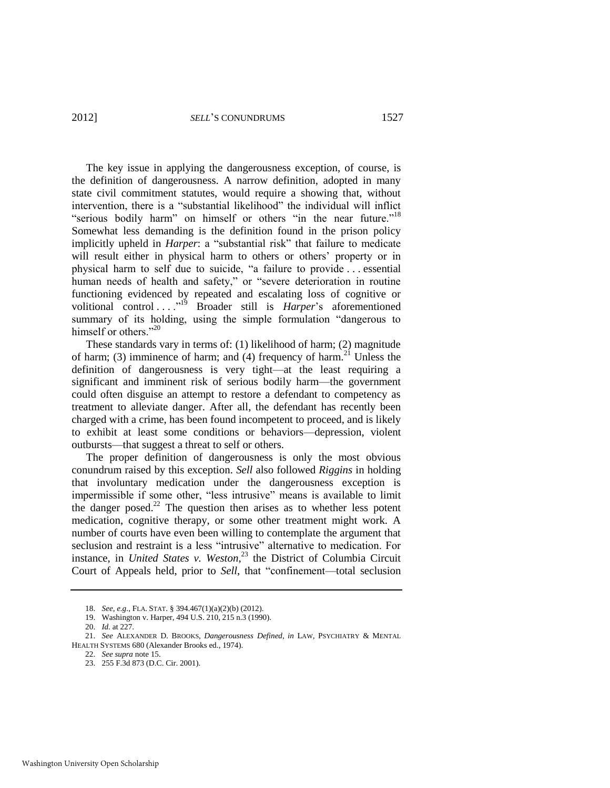The key issue in applying the dangerousness exception, of course, is the definition of dangerousness. A narrow definition, adopted in many state civil commitment statutes, would require a showing that, without intervention, there is a "substantial likelihood" the individual will inflict "serious bodily harm" on himself or others "in the near future."<sup>18</sup> Somewhat less demanding is the definition found in the prison policy implicitly upheld in *Harper*: a "substantial risk" that failure to medicate will result either in physical harm to others or others' property or in physical harm to self due to suicide, "a failure to provide ... essential human needs of health and safety," or "severe deterioration in routine functioning evidenced by repeated and escalating loss of cognitive or volitional control . . . .<sup>"19</sup> Broader still is *Harper*'s aforementioned summary of its holding, using the simple formulation "dangerous to himself or others."20

These standards vary in terms of: (1) likelihood of harm; (2) magnitude of harm; (3) imminence of harm; and (4) frequency of harm.<sup>21</sup> Unless the definition of dangerousness is very tight—at the least requiring a significant and imminent risk of serious bodily harm—the government could often disguise an attempt to restore a defendant to competency as treatment to alleviate danger. After all, the defendant has recently been charged with a crime, has been found incompetent to proceed, and is likely to exhibit at least some conditions or behaviors—depression, violent outbursts—that suggest a threat to self or others.

The proper definition of dangerousness is only the most obvious conundrum raised by this exception. *Sell* also followed *Riggins* in holding that involuntary medication under the dangerousness exception is impermissible if some other, "less intrusive" means is available to limit the danger posed.<sup>22</sup> The question then arises as to whether less potent medication, cognitive therapy, or some other treatment might work. A number of courts have even been willing to contemplate the argument that seclusion and restraint is a less "intrusive" alternative to medication. For instance, in *United States v. Weston*, <sup>23</sup> the District of Columbia Circuit Court of Appeals held, prior to *Sell*, that "confinement—total seclusion

<sup>18.</sup> *See, e.g*., FLA. STAT. § 394.467(1)(a)(2)(b) (2012).

<sup>19.</sup> Washington v. Harper, 494 U.S. 210, 215 n.3 (1990).

<sup>20.</sup> *Id.* at 227.

<sup>21.</sup> *See* ALEXANDER D. BROOKS, *Dangerousness Defined*, *in* LAW, PSYCHIATRY & MENTAL HEALTH SYSTEMS 680 (Alexander Brooks ed., 1974).

<sup>22.</sup> *See supra* not[e 15.](#page-4-0) 

<sup>23. 255</sup> F.3d 873 (D.C. Cir. 2001).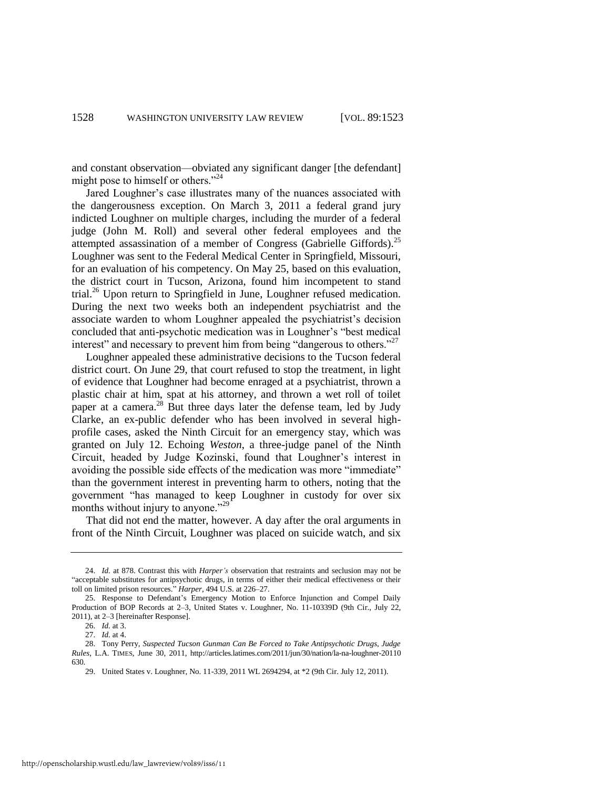and constant observation—obviated any significant danger [the defendant] might pose to himself or others."<sup>24</sup>

<span id="page-6-0"></span>Jared Loughner's case illustrates many of the nuances associated with the dangerousness exception. On March 3, 2011 a federal grand jury indicted Loughner on multiple charges, including the murder of a federal judge (John M. Roll) and several other federal employees and the attempted assassination of a member of Congress (Gabrielle Giffords).<sup>25</sup> Loughner was sent to the Federal Medical Center in Springfield, Missouri, for an evaluation of his competency. On May 25, based on this evaluation, the district court in Tucson, Arizona, found him incompetent to stand trial.<sup>26</sup> Upon return to Springfield in June, Loughner refused medication. During the next two weeks both an independent psychiatrist and the associate warden to whom Loughner appealed the psychiatrist's decision concluded that anti-psychotic medication was in Loughner's "best medical interest" and necessary to prevent him from being "dangerous to others." $^{27}$ 

Loughner appealed these administrative decisions to the Tucson federal district court. On June 29, that court refused to stop the treatment, in light of evidence that Loughner had become enraged at a psychiatrist, thrown a plastic chair at him, spat at his attorney, and thrown a wet roll of toilet paper at a camera.<sup>28</sup> But three days later the defense team, led by Judy Clarke, an ex-public defender who has been involved in several highprofile cases, asked the Ninth Circuit for an emergency stay, which was granted on July 12. Echoing *Weston*, a three-judge panel of the Ninth Circuit, headed by Judge Kozinski, found that Loughner's interest in avoiding the possible side effects of the medication was more "immediate" than the government interest in preventing harm to others, noting that the government "has managed to keep Loughner in custody for over six months without injury to anyone." $^{29}$ 

That did not end the matter, however. A day after the oral arguments in front of the Ninth Circuit, Loughner was placed on suicide watch, and six

<sup>24.</sup> *Id.* at 878. Contrast this with *Harper's* observation that restraints and seclusion may not be "acceptable substitutes for antipsychotic drugs, in terms of either their medical effectiveness or their toll on limited prison resources." *Harper*, 494 U.S. at 226–27.

<sup>25.</sup> Response to Defendant's Emergency Motion to Enforce Injunction and Compel Daily Production of BOP Records at 2–3, United States v. Loughner, No. 11-10339D (9th Cir., July 22, 2011), at 2–3 [hereinafter Response].

<sup>26.</sup> *Id.* at 3.

<sup>27.</sup> *Id.* at 4.

<sup>28.</sup> Tony Perry, *Suspected Tucson Gunman Can Be Forced to Take Antipsychotic Drugs, Judge Rules*, L.A. TIMES, June 30, 2011, http://articles.latimes.com/2011/jun/30/nation/la-na-loughner-20110 630.

<sup>29.</sup> United States v. Loughner, No. 11-339, 2011 WL 2694294, at \*2 (9th Cir. July 12, 2011).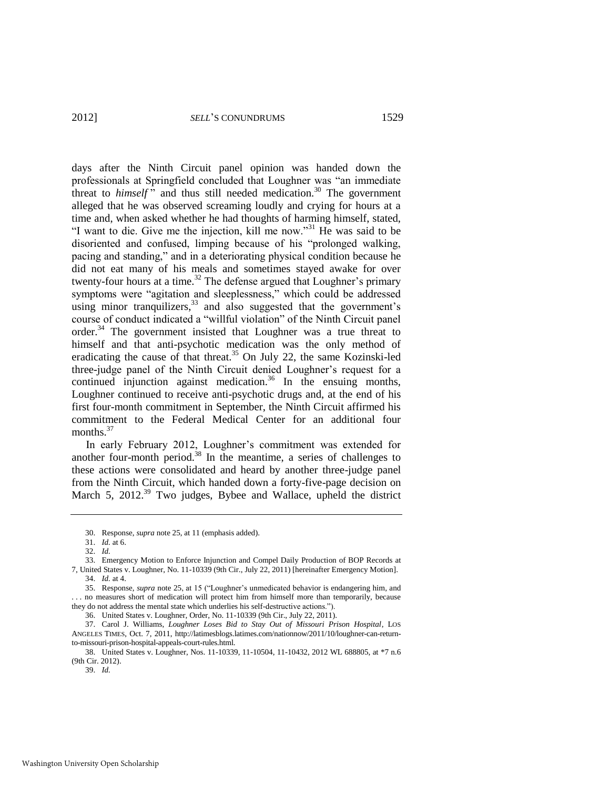<span id="page-7-0"></span>days after the Ninth Circuit panel opinion was handed down the professionals at Springfield concluded that Loughner was "an immediate threat to *himself*" and thus still needed medication.<sup>30</sup> The government alleged that he was observed screaming loudly and crying for hours at a time and, when asked whether he had thoughts of harming himself, stated, "I want to die. Give me the injection, kill me now."<sup>31</sup> He was said to be disoriented and confused, limping because of his "prolonged walking, pacing and standing," and in a deteriorating physical condition because he did not eat many of his meals and sometimes stayed awake for over twenty-four hours at a time.<sup>32</sup> The defense argued that Loughner's primary symptoms were "agitation and sleeplessness," which could be addressed using minor tranquilizers,<sup>33</sup> and also suggested that the government's course of conduct indicated a "willful violation" of the Ninth Circuit panel order.<sup>34</sup> The government insisted that Loughner was a true threat to himself and that anti-psychotic medication was the only method of eradicating the cause of that threat.<sup>35</sup> On July 22, the same Kozinski-led three-judge panel of the Ninth Circuit denied Loughner's request for a continued injunction against medication.<sup>36</sup> In the ensuing months, Loughner continued to receive anti-psychotic drugs and, at the end of his first four-month commitment in September, the Ninth Circuit affirmed his commitment to the Federal Medical Center for an additional four months.<sup>37</sup>

<span id="page-7-1"></span>In early February 2012, Loughner's commitment was extended for another four-month period. $38$  In the meantime, a series of challenges to these actions were consolidated and heard by another three-judge panel from the Ninth Circuit, which handed down a forty-five-page decision on March 5, 2012.<sup>39</sup> Two judges, Bybee and Wallace, upheld the district

<sup>30.</sup> Response, *supra* not[e 25,](#page-6-0) at 11 (emphasis added).

<sup>31.</sup> *Id.* at 6.

<sup>32.</sup> *Id.*

<sup>33.</sup> Emergency Motion to Enforce Injunction and Compel Daily Production of BOP Records at 7, United States v. Loughner, No. 11-10339 (9th Cir., July 22, 2011) [hereinafter Emergency Motion]. 34. *Id.* at 4.

<sup>35.</sup> Response, *supra* note [25,](#page-6-0) at 15 ("Loughner's unmedicated behavior is endangering him, and . . . no measures short of medication will protect him from himself more than temporarily, because they do not address the mental state which underlies his self-destructive actions.").

<sup>36.</sup> United States v. Loughner, Order, No. 11-10339 (9th Cir., July 22, 2011).

<sup>37.</sup> Carol J. Williams, *Loughner Loses Bid to Stay Out of Missouri Prison Hospital*, LOS ANGELES TIMES, Oct. 7, 2011, http://latimesblogs.latimes.com/nationnow/2011/10/loughner-can-returnto-missouri-prison-hospital-appeals-court-rules.html.

<sup>38.</sup> United States v. Loughner, Nos. 11-10339, 11-10504, 11-10432, 2012 WL 688805, at \*7 n.6 (9th Cir. 2012).

<sup>39.</sup> *Id.*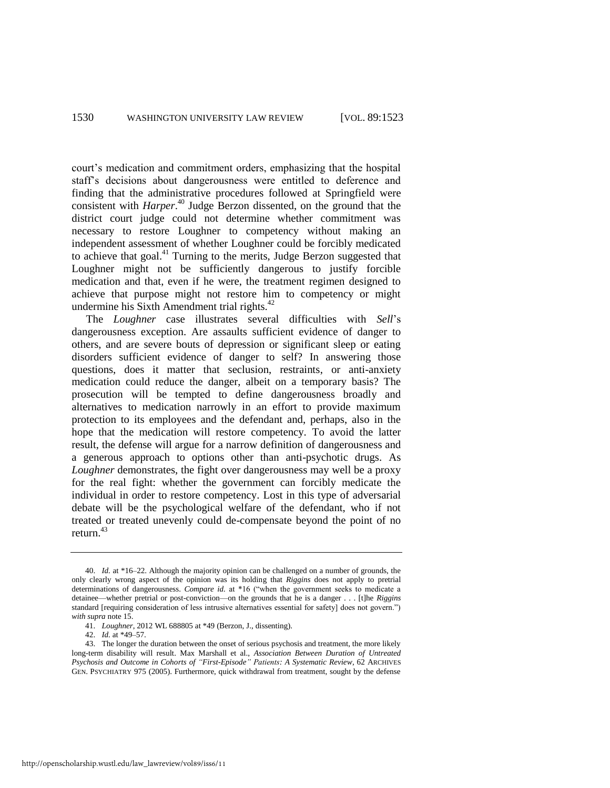court's medication and commitment orders, emphasizing that the hospital staff's decisions about dangerousness were entitled to deference and finding that the administrative procedures followed at Springfield were consistent with *Harper*. <sup>40</sup> Judge Berzon dissented, on the ground that the district court judge could not determine whether commitment was necessary to restore Loughner to competency without making an independent assessment of whether Loughner could be forcibly medicated to achieve that goal.<sup>41</sup> Turning to the merits, Judge Berzon suggested that Loughner might not be sufficiently dangerous to justify forcible medication and that, even if he were, the treatment regimen designed to achieve that purpose might not restore him to competency or might undermine his Sixth Amendment trial rights.<sup>42</sup>

<span id="page-8-0"></span>The *Loughner* case illustrates several difficulties with *Sell*'s dangerousness exception. Are assaults sufficient evidence of danger to others, and are severe bouts of depression or significant sleep or eating disorders sufficient evidence of danger to self? In answering those questions, does it matter that seclusion, restraints, or anti-anxiety medication could reduce the danger, albeit on a temporary basis? The prosecution will be tempted to define dangerousness broadly and alternatives to medication narrowly in an effort to provide maximum protection to its employees and the defendant and, perhaps, also in the hope that the medication will restore competency. To avoid the latter result, the defense will argue for a narrow definition of dangerousness and a generous approach to options other than anti-psychotic drugs. As *Loughner* demonstrates, the fight over dangerousness may well be a proxy for the real fight: whether the government can forcibly medicate the individual in order to restore competency. Lost in this type of adversarial debate will be the psychological welfare of the defendant, who if not treated or treated unevenly could de-compensate beyond the point of no return.<sup>43</sup>

<sup>40.</sup> *Id.* at \*16–22. Although the majority opinion can be challenged on a number of grounds, the only clearly wrong aspect of the opinion was its holding that *Riggins* does not apply to pretrial determinations of dangerousness. *Compare id.* at \*16 ("when the government seeks to medicate a detainee—whether pretrial or post-conviction—on the grounds that he is a danger . . . [t]he *Riggins* standard [requiring consideration of less intrusive alternatives essential for safety] does not govern.") *with supra* note [15.](#page-4-0) 

<sup>41.</sup> *Loughner*, 2012 WL 688805 at \*49 (Berzon, J., dissenting).

<sup>42.</sup> *Id.* at \*49–57.

<sup>43.</sup> The longer the duration between the onset of serious psychosis and treatment, the more likely long-term disability will result. Max Marshall et al., *Association Between Duration of Untreated Psychosis and Outcome in Cohorts of "First-Episode" Patients: A Systematic Review*, 62 ARCHIVES GEN. PSYCHIATRY 975 (2005). Furthermore, quick withdrawal from treatment, sought by the defense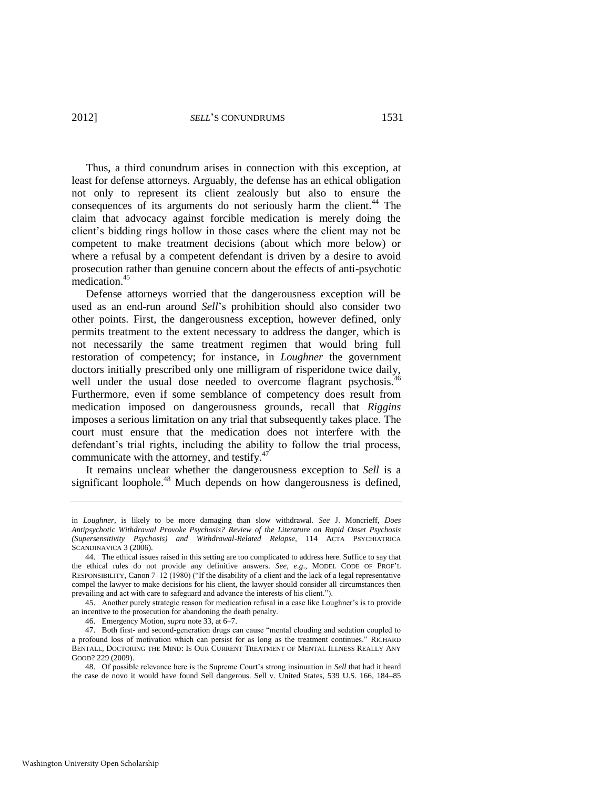Thus, a third conundrum arises in connection with this exception, at least for defense attorneys. Arguably, the defense has an ethical obligation not only to represent its client zealously but also to ensure the consequences of its arguments do not seriously harm the client.<sup>44</sup> The claim that advocacy against forcible medication is merely doing the client's bidding rings hollow in those cases where the client may not be competent to make treatment decisions (about which more below) or where a refusal by a competent defendant is driven by a desire to avoid prosecution rather than genuine concern about the effects of anti-psychotic medication.<sup>45</sup>

Defense attorneys worried that the dangerousness exception will be used as an end-run around *Sell*'s prohibition should also consider two other points. First, the dangerousness exception, however defined, only permits treatment to the extent necessary to address the danger, which is not necessarily the same treatment regimen that would bring full restoration of competency; for instance, in *Loughner* the government doctors initially prescribed only one milligram of risperidone twice daily, well under the usual dose needed to overcome flagrant psychosis.<sup>46</sup> Furthermore, even if some semblance of competency does result from medication imposed on dangerousness grounds, recall that *Riggins* imposes a serious limitation on any trial that subsequently takes place. The court must ensure that the medication does not interfere with the defendant's trial rights, including the ability to follow the trial process, communicate with the attorney, and testify. $47$ 

<span id="page-9-0"></span>It remains unclear whether the dangerousness exception to *Sell* is a significant loophole.<sup>48</sup> Much depends on how dangerousness is defined,

in *Loughner*, is likely to be more damaging than slow withdrawal. *See* J. Moncrieff, *Does Antipsychotic Withdrawal Provoke Psychosis? Review of the Literature on Rapid Onset Psychosis (Supersensitivity Psychosis) and Withdrawal-Related Relapse*, 114 ACTA PSYCHIATRICA SCANDINAVICA 3 (2006).

<sup>44.</sup> The ethical issues raised in this setting are too complicated to address here. Suffice to say that the ethical rules do not provide any definitive answers*. See, e.g*., MODEL CODE OF PROF'L RESPONSIBILITY, Canon  $7-12$  (1980) ("If the disability of a client and the lack of a legal representative compel the lawyer to make decisions for his client, the lawyer should consider all circumstances then prevailing and act with care to safeguard and advance the interests of his client.").

<sup>45.</sup> Another purely strategic reason for medication refusal in a case like Loughner's is to provide an incentive to the prosecution for abandoning the death penalty.

<sup>46.</sup> Emergency Motion, *supra* not[e 33,](#page-7-0) at 6–7.

<sup>47.</sup> Both first- and second-generation drugs can cause "mental clouding and sedation coupled to a profound loss of motivation which can persist for as long as the treatment continues." RICHARD BENTALL, DOCTORING THE MIND: IS OUR CURRENT TREATMENT OF MENTAL ILLNESS REALLY ANY GOOD? 229 (2009).

<sup>48.</sup> Of possible relevance here is the Supreme Court's strong insinuation in *Sell* that had it heard the case de novo it would have found Sell dangerous. Sell v. United States, 539 U.S. 166, 184–85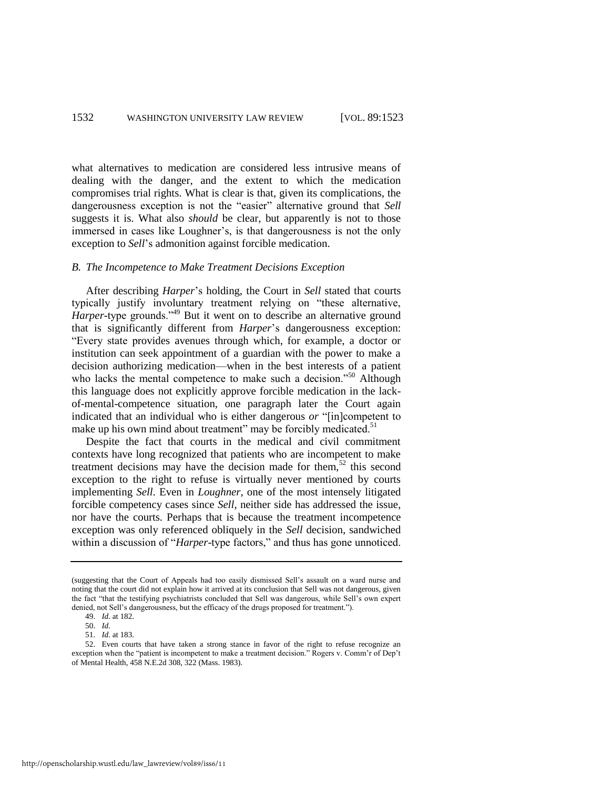what alternatives to medication are considered less intrusive means of dealing with the danger, and the extent to which the medication compromises trial rights. What is clear is that, given its complications, the dangerousness exception is not the "easier" alternative ground that Sell suggests it is. What also *should* be clear, but apparently is not to those immersed in cases like Loughner's, is that dangerousness is not the only exception to *Sell*'s admonition against forcible medication.

#### *B. The Incompetence to Make Treatment Decisions Exception*

After describing *Harper*'s holding, the Court in *Sell* stated that courts typically justify involuntary treatment relying on "these alternative, Harper-type grounds.<sup>149</sup> But it went on to describe an alternative ground that is significantly different from *Harper*'s dangerousness exception: ―Every state provides avenues through which, for example, a doctor or institution can seek appointment of a guardian with the power to make a decision authorizing medication—when in the best interests of a patient who lacks the mental competence to make such a decision.<sup>50</sup> Although this language does not explicitly approve forcible medication in the lackof-mental-competence situation, one paragraph later the Court again indicated that an individual who is either dangerous *or* "[in]competent to make up his own mind about treatment" may be forcibly medicated.<sup>51</sup>

Despite the fact that courts in the medical and civil commitment contexts have long recognized that patients who are incompetent to make treatment decisions may have the decision made for them,<sup>52</sup> this second exception to the right to refuse is virtually never mentioned by courts implementing *Sell*. Even in *Loughner*, one of the most intensely litigated forcible competency cases since *Sell*, neither side has addressed the issue, nor have the courts. Perhaps that is because the treatment incompetence exception was only referenced obliquely in the *Sell* decision, sandwiched within a discussion of "*Harper*-type factors," and thus has gone unnoticed.

<sup>(</sup>suggesting that the Court of Appeals had too easily dismissed Sell's assault on a ward nurse and noting that the court did not explain how it arrived at its conclusion that Sell was not dangerous, given the fact "that the testifying psychiatrists concluded that Sell was dangerous, while Sell's own expert denied, not Sell's dangerousness, but the efficacy of the drugs proposed for treatment.").

<sup>49.</sup> *Id.* at 182.

<sup>50.</sup> *Id.*

<sup>51.</sup> *Id.* at 183.

<sup>52.</sup> Even courts that have taken a strong stance in favor of the right to refuse recognize an exception when the "patient is incompetent to make a treatment decision." Rogers v. Comm'r of Dep't of Mental Health, 458 N.E.2d 308, 322 (Mass. 1983).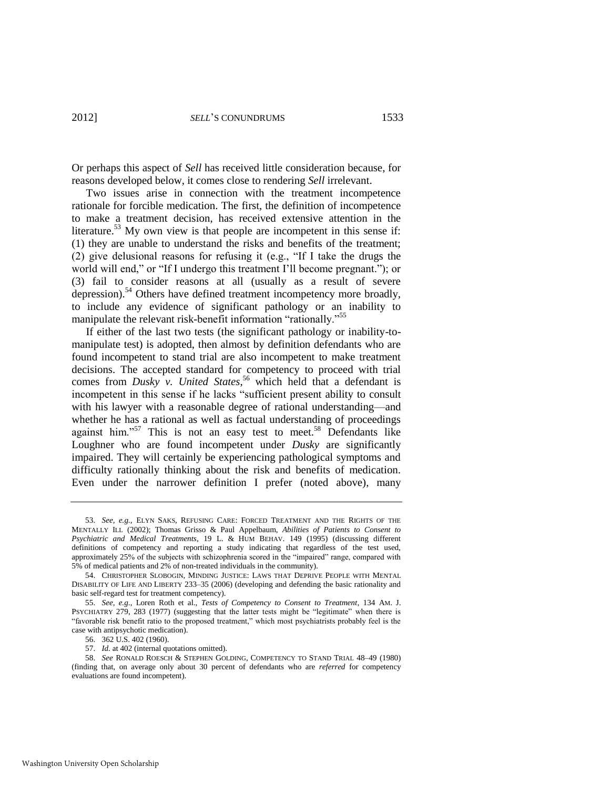Or perhaps this aspect of *Sell* has received little consideration because, for reasons developed below, it comes close to rendering *Sell* irrelevant.

Two issues arise in connection with the treatment incompetence rationale for forcible medication. The first, the definition of incompetence to make a treatment decision, has received extensive attention in the literature.<sup>53</sup> My own view is that people are incompetent in this sense if: (1) they are unable to understand the risks and benefits of the treatment; (2) give delusional reasons for refusing it (e.g., "If I take the drugs the world will end," or "If I undergo this treatment I'll become pregnant."); or (3) fail to consider reasons at all (usually as a result of severe depression).<sup>54</sup> Others have defined treatment incompetency more broadly, to include any evidence of significant pathology or an inability to manipulate the relevant risk-benefit information "rationally."<sup>55</sup>

<span id="page-11-0"></span>If either of the last two tests (the significant pathology or inability-tomanipulate test) is adopted, then almost by definition defendants who are found incompetent to stand trial are also incompetent to make treatment decisions. The accepted standard for competency to proceed with trial comes from *Dusky v. United States*, <sup>56</sup> which held that a defendant is incompetent in this sense if he lacks "sufficient present ability to consult with his lawyer with a reasonable degree of rational understanding—and whether he has a rational as well as factual understanding of proceedings against him."<sup>57</sup> This is not an easy test to meet.<sup>58</sup> Defendants like Loughner who are found incompetent under *Dusky* are significantly impaired. They will certainly be experiencing pathological symptoms and difficulty rationally thinking about the risk and benefits of medication. Even under the narrower definition I prefer (noted above), many

56. 362 U.S. 402 (1960).

57. *Id.* at 402 (internal quotations omitted).

58. *See* RONALD ROESCH & STEPHEN GOLDING, COMPETENCY TO STAND TRIAL 48–49 (1980) (finding that, on average only about 30 percent of defendants who are *referred* for competency evaluations are found incompetent).

<sup>53.</sup> *See, e.g.*, ELYN SAKS, REFUSING CARE: FORCED TREATMENT AND THE RIGHTS OF THE MENTALLY ILL (2002); Thomas Grisso & Paul Appelbaum, *Abilities of Patients to Consent to Psychiatric and Medical Treatments*, 19 L. & HUM BEHAV. 149 (1995) (discussing different definitions of competency and reporting a study indicating that regardless of the test used, approximately 25% of the subjects with schizophrenia scored in the "impaired" range, compared with 5% of medical patients and 2% of non-treated individuals in the community).

<sup>54.</sup> CHRISTOPHER SLOBOGIN, MINDING JUSTICE: LAWS THAT DEPRIVE PEOPLE WITH MENTAL DISABILITY OF LIFE AND LIBERTY 233–35 (2006) (developing and defending the basic rationality and basic self-regard test for treatment competency).

<sup>55.</sup> *See, e.g*., Loren Roth et al., *Tests of Competency to Consent to Treatment*, 134 AM. J. PSYCHIATRY 279, 283 (1977) (suggesting that the latter tests might be "legitimate" when there is ―favorable risk benefit ratio to the proposed treatment,‖ which most psychiatrists probably feel is the case with antipsychotic medication).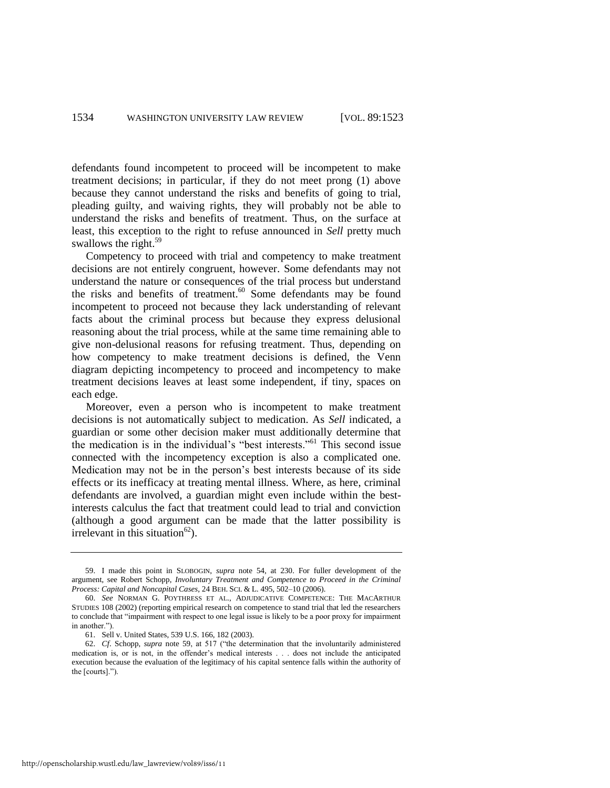defendants found incompetent to proceed will be incompetent to make treatment decisions; in particular, if they do not meet prong (1) above because they cannot understand the risks and benefits of going to trial, pleading guilty, and waiving rights, they will probably not be able to understand the risks and benefits of treatment. Thus, on the surface at least, this exception to the right to refuse announced in *Sell* pretty much swallows the right.<sup>59</sup>

<span id="page-12-0"></span>Competency to proceed with trial and competency to make treatment decisions are not entirely congruent, however. Some defendants may not understand the nature or consequences of the trial process but understand the risks and benefits of treatment.<sup>60</sup> Some defendants may be found incompetent to proceed not because they lack understanding of relevant facts about the criminal process but because they express delusional reasoning about the trial process, while at the same time remaining able to give non-delusional reasons for refusing treatment. Thus, depending on how competency to make treatment decisions is defined, the Venn diagram depicting incompetency to proceed and incompetency to make treatment decisions leaves at least some independent, if tiny, spaces on each edge.

Moreover, even a person who is incompetent to make treatment decisions is not automatically subject to medication. As *Sell* indicated, a guardian or some other decision maker must additionally determine that the medication is in the individual's "best interests."<sup>61</sup> This second issue connected with the incompetency exception is also a complicated one. Medication may not be in the person's best interests because of its side effects or its inefficacy at treating mental illness. Where, as here, criminal defendants are involved, a guardian might even include within the bestinterests calculus the fact that treatment could lead to trial and conviction (although a good argument can be made that the latter possibility is irrelevant in this situation<sup>62</sup>).

<sup>59.</sup> I made this point in SLOBOGIN, *supra* note [54,](#page-11-0) at 230. For fuller development of the argument, see Robert Schopp, *Involuntary Treatment and Competence to Proceed in the Criminal Process: Capital and Noncapital Cases*, 24 BEH. SCI. & L. 495, 502–10 (2006).

<sup>60.</sup> *See* NORMAN G. POYTHRESS ET AL., ADJUDICATIVE COMPETENCE: THE MACARTHUR STUDIES 108 (2002) (reporting empirical research on competence to stand trial that led the researchers to conclude that "impairment with respect to one legal issue is likely to be a poor proxy for impairment in another.").

<sup>61.</sup> Sell v. United States, 539 U.S. 166, 182 (2003).

<sup>62.</sup> *Cf.* Schopp, *supra* note [59,](#page-12-0) at 517 ("the determination that the involuntarily administered medication is, or is not, in the offender's medical interests . . . does not include the anticipated execution because the evaluation of the legitimacy of his capital sentence falls within the authority of the [courts].").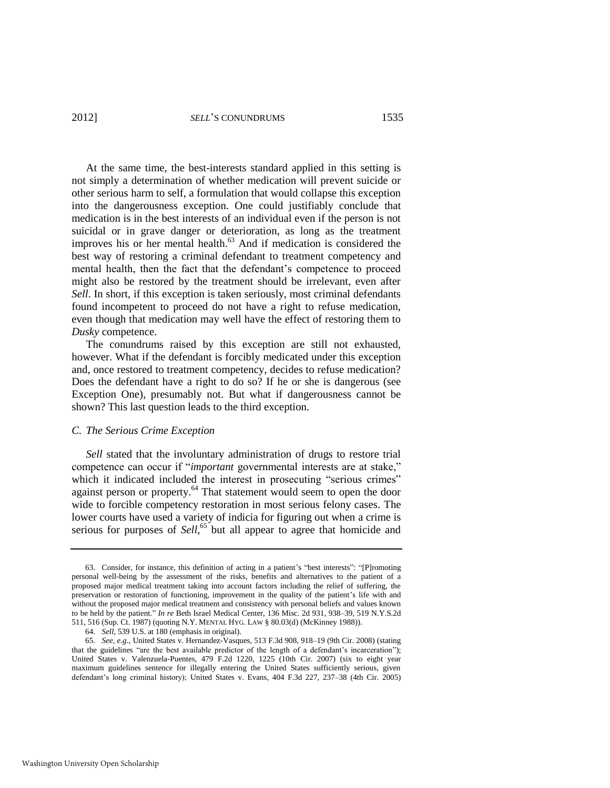At the same time, the best-interests standard applied in this setting is not simply a determination of whether medication will prevent suicide or other serious harm to self, a formulation that would collapse this exception into the dangerousness exception. One could justifiably conclude that medication is in the best interests of an individual even if the person is not suicidal or in grave danger or deterioration, as long as the treatment improves his or her mental health. $^{63}$  And if medication is considered the best way of restoring a criminal defendant to treatment competency and mental health, then the fact that the defendant's competence to proceed might also be restored by the treatment should be irrelevant, even after *Sell*. In short, if this exception is taken seriously, most criminal defendants found incompetent to proceed do not have a right to refuse medication, even though that medication may well have the effect of restoring them to *Dusky* competence.

The conundrums raised by this exception are still not exhausted, however. What if the defendant is forcibly medicated under this exception and, once restored to treatment competency, decides to refuse medication? Does the defendant have a right to do so? If he or she is dangerous (see Exception One), presumably not. But what if dangerousness cannot be shown? This last question leads to the third exception.

#### *C. The Serious Crime Exception*

*Sell* stated that the involuntary administration of drugs to restore trial competence can occur if "*important* governmental interests are at stake," which it indicated included the interest in prosecuting "serious crimes" against person or property. $64$  That statement would seem to open the door wide to forcible competency restoration in most serious felony cases. The lower courts have used a variety of indicia for figuring out when a crime is serious for purposes of Sell,<sup>65</sup> but all appear to agree that homicide and

<sup>63.</sup> Consider, for instance, this definition of acting in a patient's "best interests": "[P]romoting personal well-being by the assessment of the risks, benefits and alternatives to the patient of a proposed major medical treatment taking into account factors including the relief of suffering, the preservation or restoration of functioning, improvement in the quality of the patient's life with and without the proposed major medical treatment and consistency with personal beliefs and values known to be held by the patient." *In re* Beth Israel Medical Center, 136 Misc. 2d 931, 938–39, 519 N.Y.S.2d [511, 516 \(Sup. Ct. 1987\) \(](https://web2.westlaw.com/find/default.wl?serialnum=1987115748&tc=-1&rp=%2ffind%2fdefault.wl&sv=Split&rs=WLW11.10&db=602&tf=-1&findtype=Y&fn=_top&mt=208&vr=2.0&pbc=6801C7D8&ordoc=0103064604)quoting N.Y. MENTAL HYG. LAW § 80.03(d) (McKinney 1988)).

<sup>64.</sup> *Sell*, 539 U.S. at 180 (emphasis in original).

<sup>65.</sup> *See, e.g*., United States v. Hernandez-Vasques, 513 F.3d 908, 918–19 (9th Cir. 2008) (stating that the guidelines "are the best available predictor of the length of a defendant's incarceration"); United States v. Valenzuela-Puentes, 479 F.2d 1220, 1225 (10th Cir. 2007) (six to eight year maximum guidelines sentence for illegally entering the United States sufficiently serious, given defendant's long criminal history); United States v. Evans, 404 F.3d 227, 237–38 (4th Cir. 2005)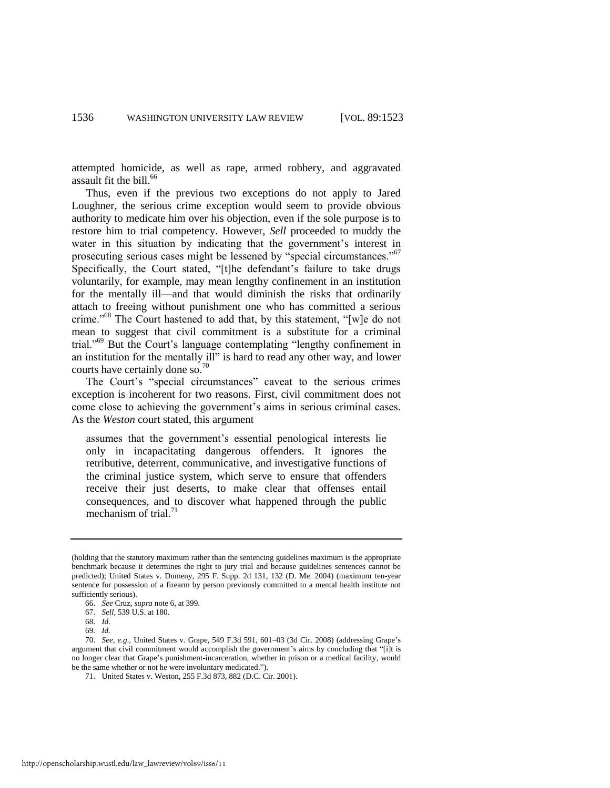attempted homicide, as well as rape, armed robbery, and aggravated assault fit the bill.<sup>66</sup>

Thus, even if the previous two exceptions do not apply to Jared Loughner, the serious crime exception would seem to provide obvious authority to medicate him over his objection, even if the sole purpose is to restore him to trial competency. However, *Sell* proceeded to muddy the water in this situation by indicating that the government's interest in prosecuting serious cases might be lessened by "special circumstances."<sup>67</sup> Specifically, the Court stated, "[t]he defendant's failure to take drugs voluntarily, for example, may mean lengthy confinement in an institution for the mentally ill—and that would diminish the risks that ordinarily attach to freeing without punishment one who has committed a serious crime."<sup>68</sup> The Court hastened to add that, by this statement, "[w]e do not mean to suggest that civil commitment is a substitute for a criminal trial."<sup>69</sup> But the Court's language contemplating "lengthy confinement in an institution for the mentally ill" is hard to read any other way, and lower courts have certainly done so.<sup>70</sup>

The Court's "special circumstances" caveat to the serious crimes exception is incoherent for two reasons. First, civil commitment does not come close to achieving the government's aims in serious criminal cases. As the *Weston* court stated, this argument

assumes that the government's essential penological interests lie only in incapacitating dangerous offenders. It ignores the retributive, deterrent, communicative, and investigative functions of the criminal justice system, which serve to ensure that offenders receive their just deserts, to make clear that offenses entail consequences, and to discover what happened through the public mechanism of trial. $^{71}$ 

<sup>(</sup>holding that the statutory maximum rather than the sentencing guidelines maximum is the appropriate benchmark because it determines the right to jury trial and because guidelines sentences cannot be predicted); United States v. Dumeny, 295 F. Supp. 2d 131, 132 (D. Me. 2004) (maximum ten-year sentence for possession of a firearm by person previously committed to a mental health institute not sufficiently serious).

<sup>66.</sup> *See* Cruz, *supra* not[e 6,](#page-2-0) at 399.

<sup>67.</sup> *Sell*, 539 U.S. at 180.

<sup>68.</sup> *Id.*

<sup>69</sup>*. Id.*

<sup>70.</sup> *See, e.g*., United States v. Grape, 549 F.3d 591, 601–03 (3d Cir. 2008) (addressing Grape's argument that civil commitment would accomplish the government's aims by concluding that "[i]t is no longer clear that Grape's punishment-incarceration, whether in prison or a medical facility, would be the same whether or not he were involuntary medicated.").

<sup>71.</sup> United States v. Weston, 255 F.3d 873, 882 (D.C. Cir. 2001).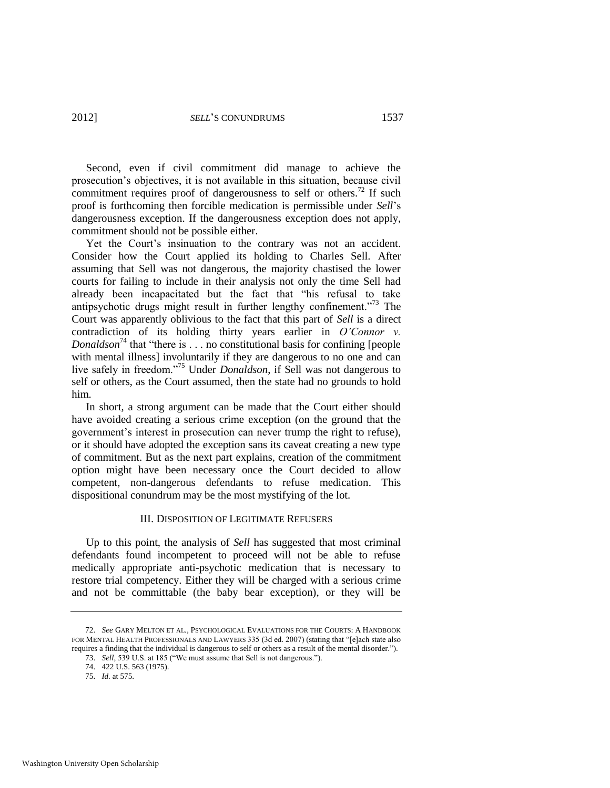Second, even if civil commitment did manage to achieve the prosecution's objectives, it is not available in this situation, because civil commitment requires proof of dangerousness to self or others.<sup>72</sup> If such proof is forthcoming then forcible medication is permissible under *Sell*'s dangerousness exception. If the dangerousness exception does not apply, commitment should not be possible either.

Yet the Court's insinuation to the contrary was not an accident. Consider how the Court applied its holding to Charles Sell. After assuming that Sell was not dangerous, the majority chastised the lower courts for failing to include in their analysis not only the time Sell had already been incapacitated but the fact that "his refusal to take antipsychotic drugs might result in further lengthy confinement.<sup> $73$ </sup> The Court was apparently oblivious to the fact that this part of *Sell* is a direct contradiction of its holding thirty years earlier in *O'Connor v. Donaldson*<sup>74</sup> that "there is  $\dots$  no constitutional basis for confining [people with mental illness involuntarily if they are dangerous to no one and can live safely in freedom."<sup>75</sup> Under *Donaldson*, if Sell was not dangerous to self or others, as the Court assumed, then the state had no grounds to hold him.

In short, a strong argument can be made that the Court either should have avoided creating a serious crime exception (on the ground that the government's interest in prosecution can never trump the right to refuse), or it should have adopted the exception sans its caveat creating a new type of commitment. But as the next part explains, creation of the commitment option might have been necessary once the Court decided to allow competent, non-dangerous defendants to refuse medication. This dispositional conundrum may be the most mystifying of the lot.

#### III. DISPOSITION OF LEGITIMATE REFUSERS

Up to this point, the analysis of *Sell* has suggested that most criminal defendants found incompetent to proceed will not be able to refuse medically appropriate anti-psychotic medication that is necessary to restore trial competency. Either they will be charged with a serious crime and not be committable (the baby bear exception), or they will be

<sup>72.</sup> *See* GARY MELTON ET AL., PSYCHOLOGICAL EVALUATIONS FOR THE COURTS: A HANDBOOK FOR MENTAL HEALTH PROFESSIONALS AND LAWYERS 335 (3d ed. 2007) (stating that "[e]ach state also requires a finding that the individual is dangerous to self or others as a result of the mental disorder.").

<sup>73.</sup> *Sell*, 539 U.S. at 185 ("We must assume that Sell is not dangerous.").

<sup>74. 422</sup> U.S. 563 (1975).

<sup>75.</sup> *Id.* at 575.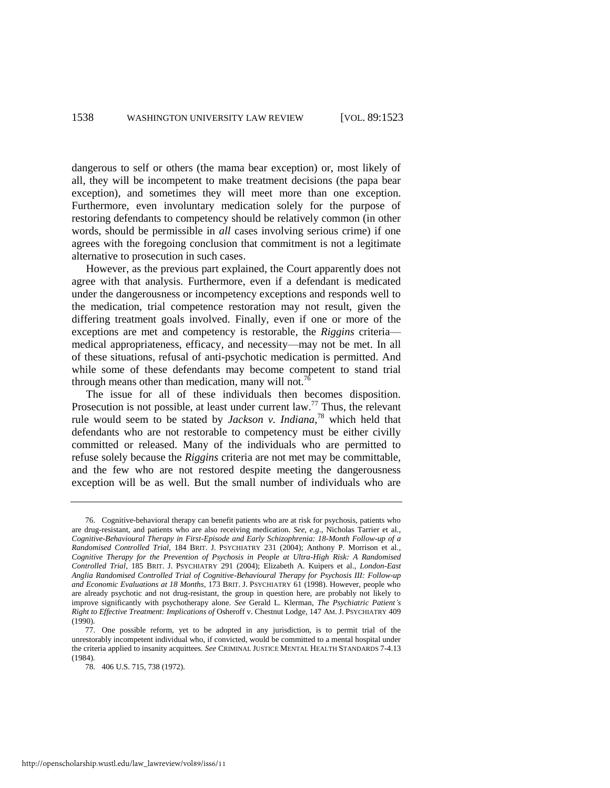dangerous to self or others (the mama bear exception) or, most likely of all, they will be incompetent to make treatment decisions (the papa bear exception), and sometimes they will meet more than one exception. Furthermore, even involuntary medication solely for the purpose of restoring defendants to competency should be relatively common (in other words, should be permissible in *all* cases involving serious crime) if one agrees with the foregoing conclusion that commitment is not a legitimate alternative to prosecution in such cases.

However, as the previous part explained, the Court apparently does not agree with that analysis. Furthermore, even if a defendant is medicated under the dangerousness or incompetency exceptions and responds well to the medication, trial competence restoration may not result, given the differing treatment goals involved. Finally, even if one or more of the exceptions are met and competency is restorable, the *Riggins* criteria medical appropriateness, efficacy, and necessity—may not be met. In all of these situations, refusal of anti-psychotic medication is permitted. And while some of these defendants may become competent to stand trial through means other than medication, many will not.<sup>76</sup>

<span id="page-16-0"></span>The issue for all of these individuals then becomes disposition. Prosecution is not possible, at least under current law.<sup>77</sup> Thus, the relevant rule would seem to be stated by *Jackson v. Indiana*, <sup>78</sup> which held that defendants who are not restorable to competency must be either civilly committed or released. Many of the individuals who are permitted to refuse solely because the *Riggins* criteria are not met may be committable, and the few who are not restored despite meeting the dangerousness exception will be as well. But the small number of individuals who are

<sup>76.</sup> Cognitive-behavioral therapy can benefit patients who are at risk for psychosis, patients who are drug-resistant, and patients who are also receiving medication. *See, e.g*., Nicholas Tarrier et al., *Cognitive-Behavioural Therapy in First-Episode and Early Schizophrenia: 18-Month Follow-up of a Randomised Controlled Trial*, 184 BRIT. J. PSYCHIATRY 231 (2004); Anthony P. Morrison et al*.*, *Cognitive Therapy for the Prevention of Psychosis in People at Ultra-High Risk: A Randomised Controlled Trial*, 185 BRIT. J. PSYCHIATRY 291 (2004); Elizabeth A. Kuipers et al., *London-East Anglia Randomised Controlled Trial of Cognitive-Behavioural Therapy for Psychosis III: Follow-up and Economic Evaluations at 18 Months*, 173 BRIT. J. PSYCHIATRY 61 (1998). However, people who are already psychotic and not drug-resistant, the group in question here, are probably not likely to improve significantly with psychotherapy alone. *See* Gerald L. Klerman, *The Psychiatric Patient's Right to Effective Treatment: Implications of* Osheroff v. Chestnut Lodge, 147 AM. J. PSYCHIATRY 409 (1990).

<sup>77.</sup> One possible reform, yet to be adopted in any jurisdiction, is to permit trial of the unrestorably incompetent individual who, if convicted, would be committed to a mental hospital under the criteria applied to insanity acquittees. *See* CRIMINAL JUSTICE MENTAL HEALTH STANDARDS 7-4.13 (1984).

<sup>78. 406</sup> U.S. 715, 738 (1972).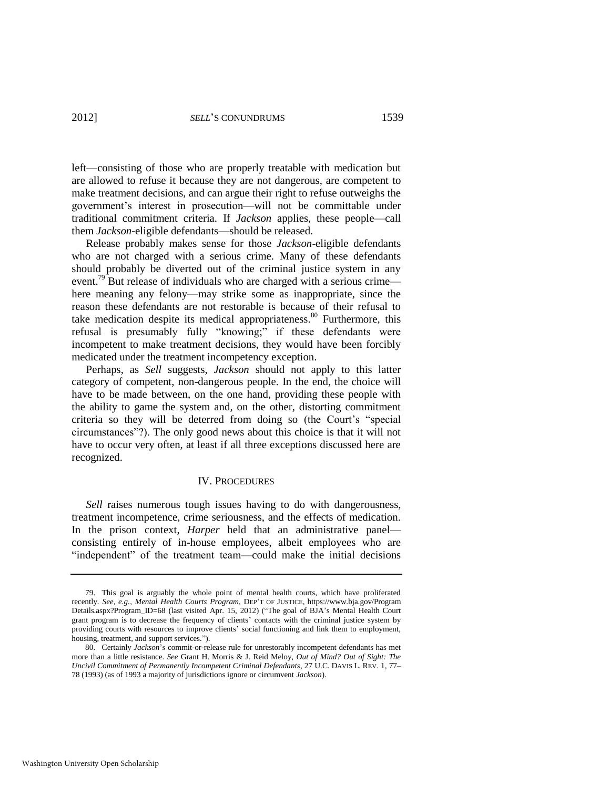left—consisting of those who are properly treatable with medication but are allowed to refuse it because they are not dangerous, are competent to make treatment decisions, and can argue their right to refuse outweighs the government's interest in prosecution—will not be committable under traditional commitment criteria. If *Jackson* applies, these people—call them *Jackson*-eligible defendants—should be released.

Release probably makes sense for those *Jackson*-eligible defendants who are not charged with a serious crime. Many of these defendants should probably be diverted out of the criminal justice system in any event.<sup>79</sup> But release of individuals who are charged with a serious crime here meaning any felony—may strike some as inappropriate, since the reason these defendants are not restorable is because of their refusal to take medication despite its medical appropriateness.<sup>80</sup> Furthermore, this refusal is presumably fully "knowing;" if these defendants were incompetent to make treatment decisions, they would have been forcibly medicated under the treatment incompetency exception.

Perhaps, as *Sell* suggests, *Jackson* should not apply to this latter category of competent, non-dangerous people. In the end, the choice will have to be made between, on the one hand, providing these people with the ability to game the system and, on the other, distorting commitment criteria so they will be deterred from doing so (the Court's "special circumstances‖?). The only good news about this choice is that it will not have to occur very often, at least if all three exceptions discussed here are recognized.

#### IV. PROCEDURES

*Sell* raises numerous tough issues having to do with dangerousness, treatment incompetence, crime seriousness, and the effects of medication. In the prison context, *Harper* held that an administrative panel consisting entirely of in-house employees, albeit employees who are "independent" of the treatment team—could make the initial decisions

<sup>79.</sup> This goal is arguably the whole point of mental health courts, which have proliferated recently. *See, e.g.*, *Mental Health Courts Program*, DEP'T OF JUSTICE, https://www.bja.gov/Program Details.aspx?Program\_ID=68 (last visited Apr. 15, 2012) ("The goal of BJA's Mental Health Court grant program is to decrease the frequency of clients' contacts with the criminal justice system by providing courts with resources to improve clients' social functioning and link them to employment, housing, treatment, and support services.").

<sup>80.</sup> Certainly *Jackson*'s commit-or-release rule for unrestorably incompetent defendants has met more than a little resistance. *See* Grant H. Morris & J. Reid Meloy, *Out of Mind? Out of Sight: The Uncivil Commitment of Permanently Incompetent Criminal Defendants*, 27 U.C. DAVIS L. REV. 1, 77– 78 (1993) (as of 1993 a majority of jurisdictions ignore or circumvent *Jackson*).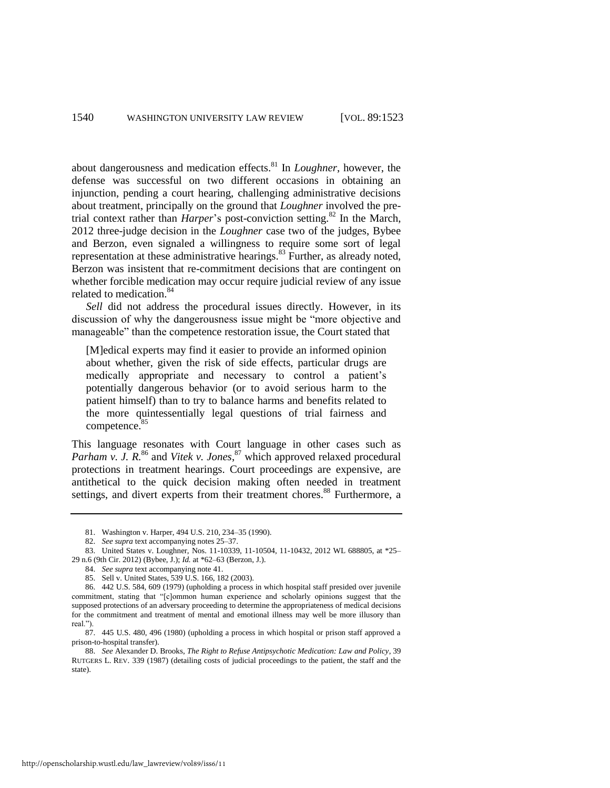about dangerousness and medication effects.<sup>81</sup> In *Loughner*, however, the defense was successful on two different occasions in obtaining an injunction, pending a court hearing, challenging administrative decisions about treatment, principally on the ground that *Loughner* involved the pretrial context rather than *Harper*'s post-conviction setting.<sup>82</sup> In the March, 2012 three-judge decision in the *Loughner* case two of the judges, Bybee and Berzon, even signaled a willingness to require some sort of legal representation at these administrative hearings.<sup>83</sup> Further, as already noted, Berzon was insistent that re-commitment decisions that are contingent on whether forcible medication may occur require judicial review of any issue related to medication.<sup>84</sup>

*Sell* did not address the procedural issues directly. However, in its discussion of why the dangerousness issue might be "more objective and manageable" than the competence restoration issue, the Court stated that

[M]edical experts may find it easier to provide an informed opinion about whether, given the risk of side effects, particular drugs are medically appropriate and necessary to control a patient's potentially dangerous behavior (or to avoid serious harm to the patient himself) than to try to balance harms and benefits related to the more quintessentially legal questions of trial fairness and competence.<sup>85</sup>

This language resonates with Court language in other cases such as Parham v. J. R.<sup>86</sup> and Vitek v. Jones,<sup>87</sup> which approved relaxed procedural protections in treatment hearings. Court proceedings are expensive, are antithetical to the quick decision making often needed in treatment settings, and divert experts from their treatment chores.<sup>88</sup> Furthermore, a

<sup>81.</sup> Washington v. Harper, 494 U.S. 210, 234–35 (1990).

<sup>82.</sup> *See supra* text accompanying note[s 25](#page-6-0)[–37.](#page-7-1)

<sup>83.</sup> United States v. Loughner, Nos. 11-10339, 11-10504, 11-10432, 2012 WL 688805, at \*25– 29 n.6 (9th Cir. 2012) (Bybee, J.); *Id.* at \*62–63 (Berzon, J.).

<sup>84.</sup> *See supra* text accompanying not[e 41.](#page-8-0)

<sup>85.</sup> Sell v. United States, 539 U.S. 166, 182 (2003).

<sup>86. 442</sup> U.S. 584, 609 (1979) (upholding a process in which hospital staff presided over juvenile commitment, stating that "[c]ommon human experience and scholarly opinions suggest that the supposed protections of an adversary proceeding to determine the appropriateness of medical decisions for the commitment and treatment of mental and emotional illness may well be more illusory than real.").

<sup>87. 445</sup> U.S. 480, 496 (1980) (upholding a process in which hospital or prison staff approved a prison-to-hospital transfer).

<sup>88.</sup> *See* Alexander D. Brooks, *The Right to Refuse Antipsychotic Medication: Law and Policy*, 39 RUTGERS L. REV. 339 (1987) (detailing costs of judicial proceedings to the patient, the staff and the state).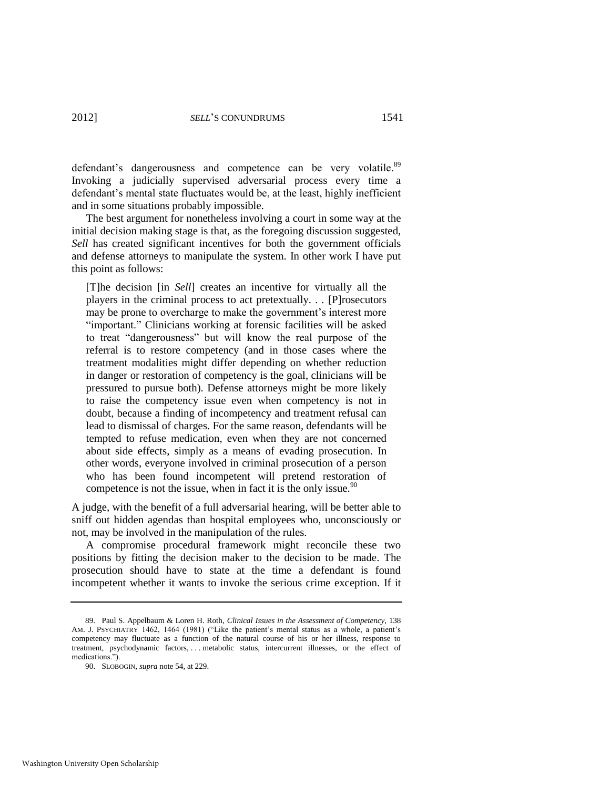defendant's dangerousness and competence can be very volatile.<sup>89</sup> Invoking a judicially supervised adversarial process every time a defendant's mental state fluctuates would be, at the least, highly inefficient and in some situations probably impossible.

The best argument for nonetheless involving a court in some way at the initial decision making stage is that, as the foregoing discussion suggested, *Sell* has created significant incentives for both the government officials and defense attorneys to manipulate the system. In other work I have put this point as follows:

[T]he decision [in *Sell*] creates an incentive for virtually all the players in the criminal process to act pretextually. . . [P]rosecutors may be prone to overcharge to make the government's interest more "important." Clinicians working at forensic facilities will be asked to treat "dangerousness" but will know the real purpose of the referral is to restore competency (and in those cases where the treatment modalities might differ depending on whether reduction in danger or restoration of competency is the goal, clinicians will be pressured to pursue both). Defense attorneys might be more likely to raise the competency issue even when competency is not in doubt, because a finding of incompetency and treatment refusal can lead to dismissal of charges. For the same reason, defendants will be tempted to refuse medication, even when they are not concerned about side effects, simply as a means of evading prosecution. In other words, everyone involved in criminal prosecution of a person who has been found incompetent will pretend restoration of competence is not the issue, when in fact it is the only issue. $90$ 

A judge, with the benefit of a full adversarial hearing, will be better able to sniff out hidden agendas than hospital employees who, unconsciously or not, may be involved in the manipulation of the rules.

A compromise procedural framework might reconcile these two positions by fitting the decision maker to the decision to be made. The prosecution should have to state at the time a defendant is found incompetent whether it wants to invoke the serious crime exception. If it

<sup>89.</sup> Paul S. Appelbaum & Loren H. Roth, *Clinical Issues in the Assessment of Competency*, 138 AM. J. PSYCHIATRY 1462, 1464 (1981) ("Like the patient's mental status as a whole, a patient's competency may fluctuate as a function of the natural course of his or her illness, response to treatment, psychodynamic factors, . . . metabolic status, intercurrent illnesses, or the effect of medications.").

<sup>90.</sup> SLOBOGIN, *supra* not[e 54,](#page-11-0) at 229.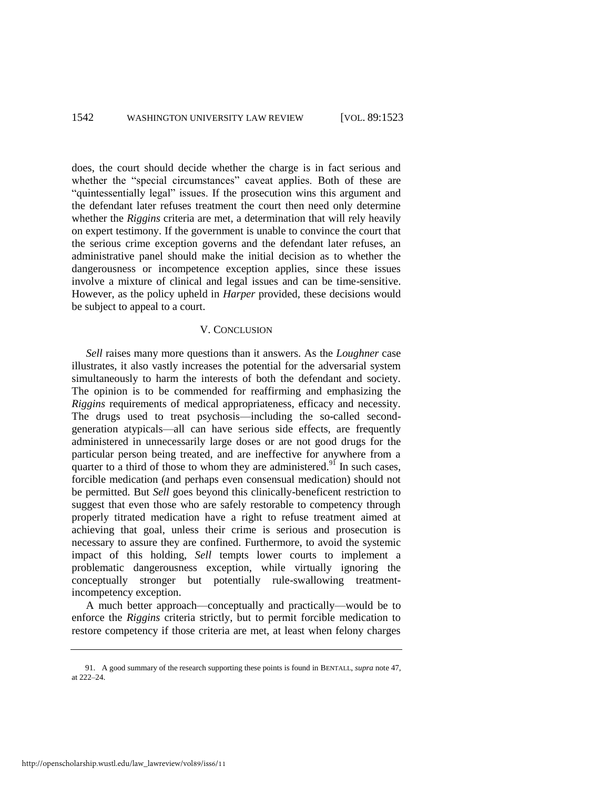does, the court should decide whether the charge is in fact serious and whether the "special circumstances" caveat applies. Both of these are "quintessentially legal" issues. If the prosecution wins this argument and the defendant later refuses treatment the court then need only determine whether the *Riggins* criteria are met, a determination that will rely heavily on expert testimony. If the government is unable to convince the court that the serious crime exception governs and the defendant later refuses, an administrative panel should make the initial decision as to whether the dangerousness or incompetence exception applies, since these issues involve a mixture of clinical and legal issues and can be time-sensitive. However, as the policy upheld in *Harper* provided, these decisions would be subject to appeal to a court.

#### V. CONCLUSION

*Sell* raises many more questions than it answers. As the *Loughner* case illustrates, it also vastly increases the potential for the adversarial system simultaneously to harm the interests of both the defendant and society. The opinion is to be commended for reaffirming and emphasizing the *Riggins* requirements of medical appropriateness, efficacy and necessity. The drugs used to treat psychosis—including the so-called secondgeneration atypicals—all can have serious side effects, are frequently administered in unnecessarily large doses or are not good drugs for the particular person being treated, and are ineffective for anywhere from a quarter to a third of those to whom they are administered.<sup>91</sup> In such cases, forcible medication (and perhaps even consensual medication) should not be permitted. But *Sell* goes beyond this clinically-beneficent restriction to suggest that even those who are safely restorable to competency through properly titrated medication have a right to refuse treatment aimed at achieving that goal, unless their crime is serious and prosecution is necessary to assure they are confined. Furthermore, to avoid the systemic impact of this holding, *Sell* tempts lower courts to implement a problematic dangerousness exception, while virtually ignoring the conceptually stronger but potentially rule-swallowing treatmentincompetency exception.

A much better approach—conceptually and practically—would be to enforce the *Riggins* criteria strictly, but to permit forcible medication to restore competency if those criteria are met, at least when felony charges

<sup>91.</sup> A good summary of the research supporting these points is found in BENTALL, *supra* not[e 47,](#page-9-0)  at 222–24.